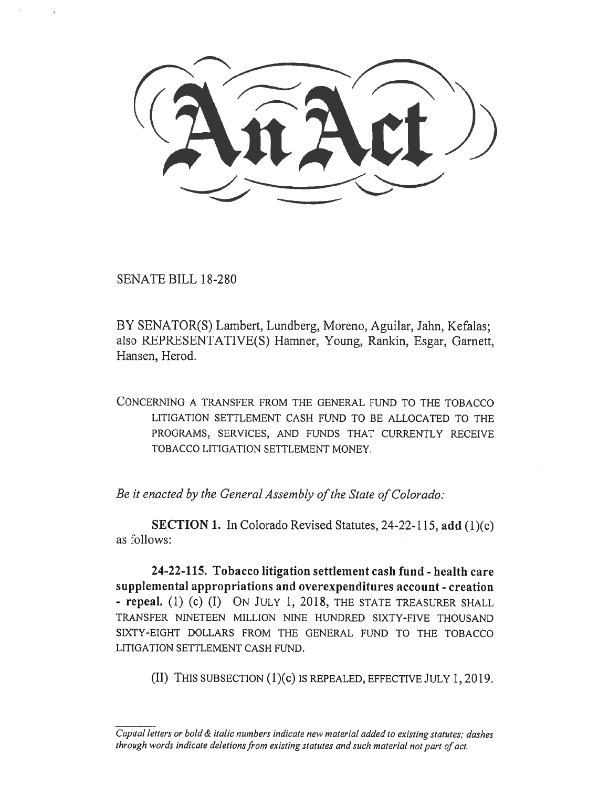(AnAct)  $\underbrace{\hspace{1.5cm}}$ 

SENATE BILL 18-280

BY SENATOR(S) Lambert, Lundberg, Moreno, Aguilar, Jahn, Kefalas; also REPRESENTATIVE(S) Hamner, Young, Rankin, Esgar, Garnett, Hansen, Herod.

CONCERNING A TRANSFER FROM THE GENERAL FUND TO THE TOBACCO LITIGATION SETTLEMENT CASH FUND TO BE ALLOCATED TO THE PROGRAMS, SERVICES, AND FUNDS THAT CURRENTLY RECEIVE TOBACCO LITIGATION SETTLEMENT MONEY.

*Be it enacted by the General Assembly of the State of Colorado:* 

**SECTION 1.** In Colorado Revised Statutes, 24-22-115, **add** (1)(c) as follows:

**24-22-115. Tobacco litigation settlement cash fund - health care supplemental appropriations and overexpenditures account - creation - repeal. (1)** (c) (I) ON JULY 1, 2018, THE STATE TREASURER SHALL TRANSFER NINETEEN MILLION NINE HUNDRED SIXTY-FIVE THOUSAND SIXTY-EIGHT DOLLARS FROM THE GENERAL FUND TO THE TOBACCO LITIGATION SETTLEMENT CASH FUND.

(II) THIS SUBSECTION (1)(C) IS REPEALED, EFFECTIVE JULY 1, 2019.

*Capital letters or bold & italic numbers indicate new material added to existing statutes; dashes through words indicate deletions from existing statutes and such material not part of act.*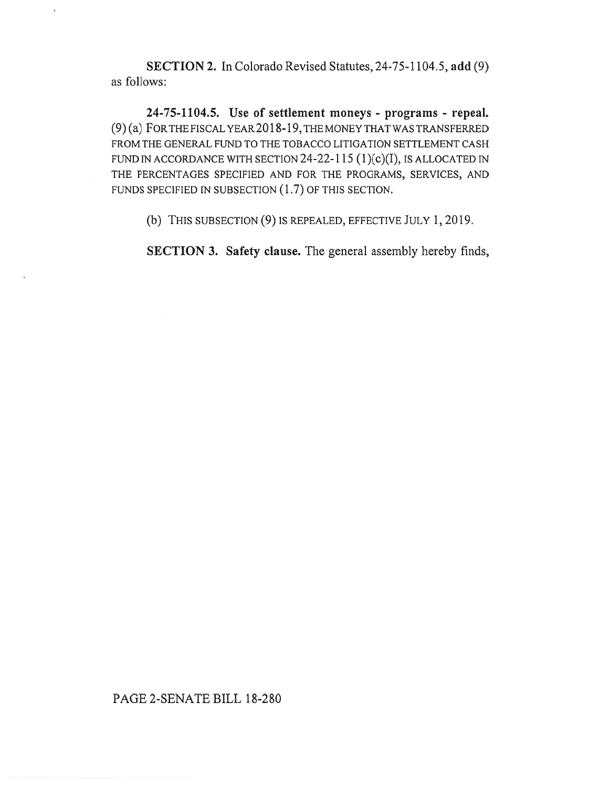**SECTION 2.** In Colorado Revised Statutes, 24-75-1104.5, **add** (9) as follows:

**24-75-1104.5. Use of settlement moneys - programs - repeal.**  (9) (a) FOR THE FISCAL YEAR 2018-19, THE MONEY THAT WAS TRANSFERRED FROM THE GENERAL FUND TO THE TOBACCO LITIGATION SETTLEMENT CASH FUND IN ACCORDANCE WITH SECTION  $24-22-115$  (1)(c)(I), IS ALLOCATED IN THE PERCENTAGES SPECIFIED AND FOR THE PROGRAMS, SERVICES, AND FUNDS SPECIFIED IN SUBSECTION (1.7) OF THIS SECTION.

(b) THIS SUBSECTION (9) IS REPEALED, EFFECTIVE JULY 1, 2019.

**SECTION 3. Safety clause.** The general assembly hereby finds,

## PAGE 2-SENATE BILL 18-280